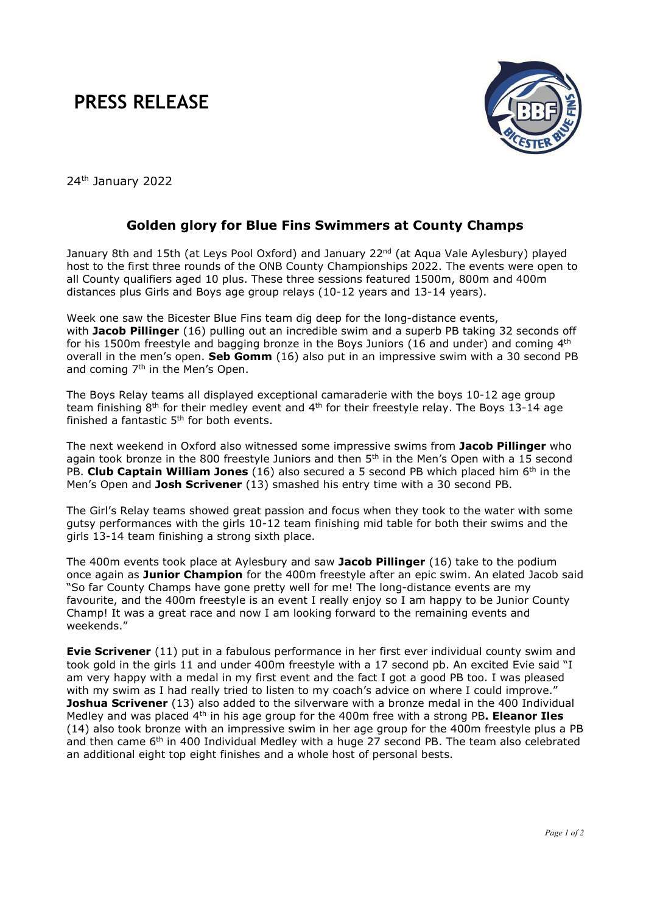## PRESS RELEASE



24<sup>th</sup> January 2022

## Golden glory for Blue Fins Swimmers at County Champs

January 8th and 15th (at Leys Pool Oxford) and January 22<sup>nd</sup> (at Aqua Vale Aylesbury) played host to the first three rounds of the ONB County Championships 2022. The events were open to all County qualifiers aged 10 plus. These three sessions featured 1500m, 800m and 400m distances plus Girls and Boys age group relays (10-12 years and 13-14 years).

Week one saw the Bicester Blue Fins team dig deep for the long-distance events, with Jacob Pillinger  $(16)$  pulling out an incredible swim and a superb PB taking 32 seconds off for his 1500m freestyle and bagging bronze in the Boys Juniors (16 and under) and coming 4<sup>th</sup> overall in the men's open. **Seb Gomm**  $(16)$  also put in an impressive swim with a 30 second PB and coming 7<sup>th</sup> in the Men's Open.

The Boys Relay teams all displayed exceptional camaraderie with the boys 10-12 age group team finishing  $8<sup>th</sup>$  for their medley event and  $4<sup>th</sup>$  for their freestyle relay. The Boys 13-14 age finished a fantastic  $5<sup>th</sup>$  for both events.

The next weekend in Oxford also witnessed some impressive swims from Jacob Pillinger who again took bronze in the 800 freestyle Juniors and then  $5<sup>th</sup>$  in the Men's Open with a 15 second PB. Club Captain William Jones (16) also secured a 5 second PB which placed him  $6<sup>th</sup>$  in the Men's Open and Josh Scrivener (13) smashed his entry time with a 30 second PB.

The Girl's Relay teams showed great passion and focus when they took to the water with some gutsy performances with the girls 10-12 team finishing mid table for both their swims and the girls 13-14 team finishing a strong sixth place.

The 400m events took place at Aylesbury and saw Jacob Pillinger (16) take to the podium once again as Junior Champion for the 400m freestyle after an epic swim. An elated Jacob said "So far County Champs have gone pretty well for me! The long-distance events are my favourite, and the 400m freestyle is an event I really enjoy so I am happy to be Junior County Champ! It was a great race and now I am looking forward to the remaining events and weekends."

**Evie Scrivener** (11) put in a fabulous performance in her first ever individual county swim and took gold in the girls 11 and under 400m freestyle with a 17 second pb. An excited Evie said "I am very happy with a medal in my first event and the fact I got a good PB too. I was pleased with my swim as I had really tried to listen to my coach's advice on where I could improve." Joshua Scrivener (13) also added to the silverware with a bronze medal in the 400 Individual Medley and was placed 4<sup>th</sup> in his age group for the 400m free with a strong PB. Eleanor Iles (14) also took bronze with an impressive swim in her age group for the 400m freestyle plus a PB and then came 6<sup>th</sup> in 400 Individual Medley with a huge 27 second PB. The team also celebrated an additional eight top eight finishes and a whole host of personal bests.